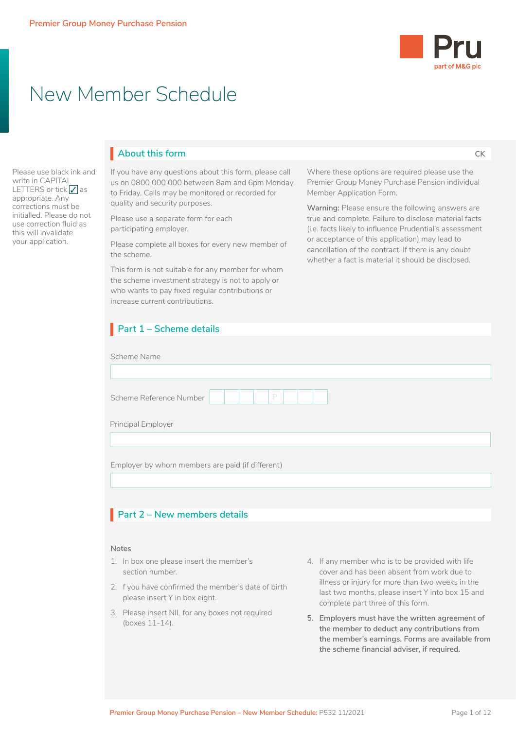

**CK**

# New Member Schedule

Please use black ink and write in CAPITAL LETTERS or tick  $\sqrt{\ }$  as appropriate. Any corrections must be initialled. Please do not use correction fluid as this will invalidate your application.

## **About this form** I

If you have any questions about this form, please call us on 0800 000 000 between 8am and 6pm Monday to Friday. Calls may be monitored or recorded for quality and security purposes.

Please use a separate form for each participating employer.

Please complete all boxes for every new member of the scheme.

This form is not suitable for any member for whom the scheme investment strategy is not to apply or who wants to pay fixed regular contributions or increase current contributions.

Where these options are required please use the Premier Group Money Purchase Pension individual Member Application Form.

**Warning:** Please ensure the following answers are true and complete. Failure to disclose material facts (i.e. facts likely to influence Prudential's assessment or acceptance of this application) may lead to cancellation of the contract. If there is any doubt whether a fact is material it should be disclosed.

| increase current contributions.                                                     |  |                                                                                                                                           |  |  |  |  |  |
|-------------------------------------------------------------------------------------|--|-------------------------------------------------------------------------------------------------------------------------------------------|--|--|--|--|--|
| Part $1 -$ Scheme details                                                           |  |                                                                                                                                           |  |  |  |  |  |
| Scheme Name                                                                         |  |                                                                                                                                           |  |  |  |  |  |
|                                                                                     |  |                                                                                                                                           |  |  |  |  |  |
| P<br>Scheme Reference Number                                                        |  |                                                                                                                                           |  |  |  |  |  |
| Principal Employer                                                                  |  |                                                                                                                                           |  |  |  |  |  |
|                                                                                     |  |                                                                                                                                           |  |  |  |  |  |
| Employer by whom members are paid (if different)                                    |  |                                                                                                                                           |  |  |  |  |  |
| Part 2 - New members details                                                        |  |                                                                                                                                           |  |  |  |  |  |
| <b>Notes</b>                                                                        |  |                                                                                                                                           |  |  |  |  |  |
| 1. In box one please insert the member's<br>section number.                         |  | 4. If any member who is to be provided with life<br>cover and has been absent from work due to                                            |  |  |  |  |  |
| 2. f you have confirmed the member's date of birth<br>please insert Y in box eight. |  | illness or injury for more than two weeks in the<br>last two months, please insert Y into box 15 and<br>complete part three of this form. |  |  |  |  |  |
| 3. Please insert NIL for any boxes not required<br>(boxes 11-14).                   |  | 5. Employers must have the written agreement of<br>the member to deduct any contributions from                                            |  |  |  |  |  |

**the member's earnings. Forms are available from the scheme financial adviser, if required.**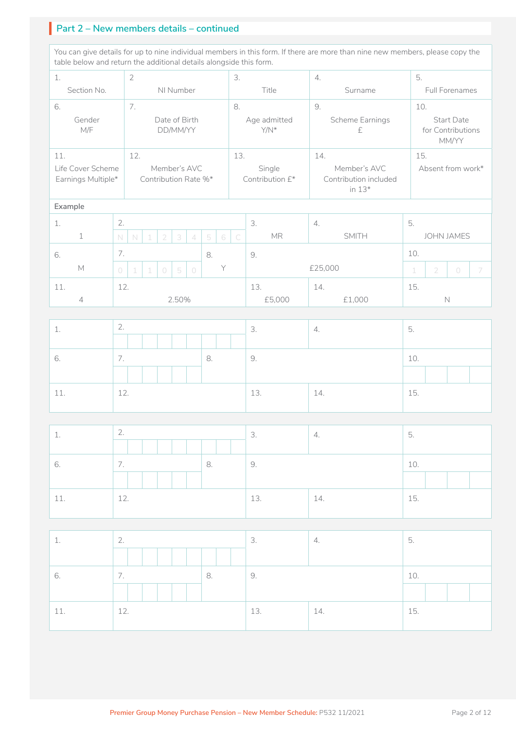## **Part 2 – New members details – continued**

You can give details for up to nine individual members in this form. If there are more than nine new members, please copy the table below and return the additional details alongside this form.

| $\overline{2}$<br>1.                    |             |                           |                  | 3.     |            | 4.     |                                      | 5.  |                      |                         |                           |                                          |                                                   |    |                |                   |   |
|-----------------------------------------|-------------|---------------------------|------------------|--------|------------|--------|--------------------------------------|-----|----------------------|-------------------------|---------------------------|------------------------------------------|---------------------------------------------------|----|----------------|-------------------|---|
| Section No.                             |             | NI Number                 |                  |        | Title      |        | Surname                              |     |                      | Full Forenames          |                           |                                          |                                                   |    |                |                   |   |
| 6.<br>7.                                |             |                           | 8.               | 9.     |            |        |                                      | 10. |                      |                         |                           |                                          |                                                   |    |                |                   |   |
| Gender<br>M/F                           |             | Date of Birth<br>DD/MM/YY |                  |        |            |        | Age admitted<br>Y/N*                 |     | Scheme Earnings<br>£ |                         |                           | Start Date<br>for Contributions<br>MM/YY |                                                   |    |                |                   |   |
| 11.                                     | 12.         |                           |                  | 13.    |            | 14.    |                                      | 15. |                      |                         |                           |                                          |                                                   |    |                |                   |   |
| Life Cover Scheme<br>Earnings Multiple* |             |                           |                  |        |            |        | Member's AVC<br>Contribution Rate %* |     |                      |                         | Single<br>Contribution £* |                                          | Member's AVC<br>Contribution included<br>in $13*$ |    |                | Absent from work* |   |
| Example                                 |             |                           |                  |        |            |        |                                      |     |                      |                         |                           |                                          |                                                   |    |                |                   |   |
| 1.                                      | 2.          |                           |                  |        |            |        |                                      |     |                      |                         | 3.                        | 4.                                       |                                                   | 5. |                |                   |   |
| $\mathbf 1$                             | $\mathbb N$ | $\mathbb N$               | $\left  \right $ |        | 2          | 3      | $\overline{\mathcal{A}}$             | 5   | 6                    | $\overline{\mathsf{C}}$ | <b>MR</b>                 |                                          | <b>SMITH</b>                                      |    |                | <b>JOHN JAMES</b> |   |
| 6.                                      | 7.<br>8.    |                           |                  | 9.     |            |        | 10.                                  |     |                      |                         |                           |                                          |                                                   |    |                |                   |   |
| M                                       | $\bigcirc$  | $\perp$                   | $\perp$          |        | $\bigcirc$ | 5      | $\circlearrowright$                  |     | Y                    |                         |                           | £25,000                                  |                                                   | 1  | $\overline{2}$ | $\bigcirc$        | 7 |
| 11.                                     | 12.         |                           |                  |        |            |        |                                      |     | 13.                  | 14.                     |                           | 15.                                      |                                                   |    |                |                   |   |
| 2.50%<br>$\overline{4}$                 |             |                           |                  | £5,000 |            | £1,000 |                                      |     | $\mathbb N$          |                         |                           |                                          |                                                   |    |                |                   |   |
|                                         |             |                           |                  |        |            |        |                                      |     |                      |                         |                           |                                          |                                                   |    |                |                   |   |

| $\sim$<br>3.<br>$\sim$<br>4.<br><b>L</b> .               | $\overline{\phantom{0}}$<br>b. |
|----------------------------------------------------------|--------------------------------|
|                                                          |                                |
| $\overline{\phantom{a}}$<br>9.<br>8.<br>6.<br>$\prime$ . | 10.                            |
|                                                          |                                |
| 12.<br>13.<br>14.<br>11<br><b>+++</b>                    | 15.                            |

| <b>1</b> | $\bigcap$<br>$\mathcal{L}$ .             |    | 3.  | 4.  | - 5. |  |  |
|----------|------------------------------------------|----|-----|-----|------|--|--|
|          |                                          |    |     |     |      |  |  |
| 6.       | $\overline{\phantom{0}}$<br>$\sqrt{ }$ . | 8. | 9.  |     | 10.  |  |  |
|          |                                          |    |     |     |      |  |  |
| 11       | 12.                                      |    | 13. | 14. | 15.  |  |  |

| <b>L.</b> | 2.  |    | 3.  | 4.  | 5.  |
|-----------|-----|----|-----|-----|-----|
| 6.        | 7.  | 8. | 9.  |     | 10. |
| 11.       | 12. |    | 13. | 14. | 15. |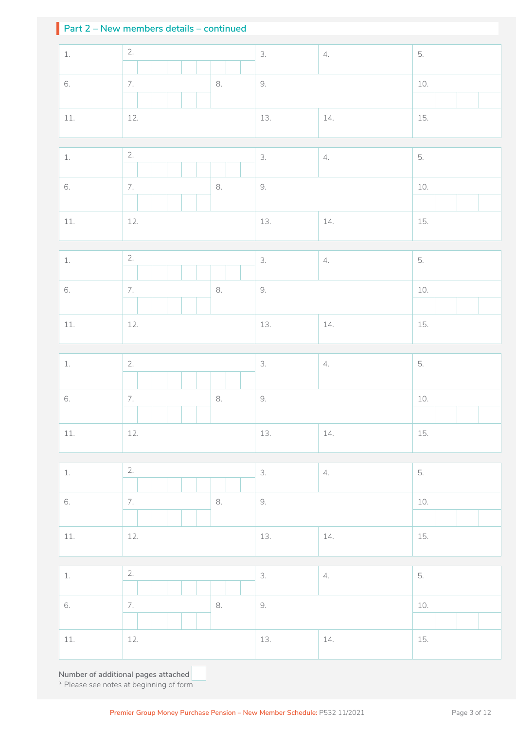## **Part 2 – New members details – continued**

| $1. \,$                             | 2.                     | 3.  | 4.  | 5.    |  |  |  |
|-------------------------------------|------------------------|-----|-----|-------|--|--|--|
| 6.                                  | 7.<br>8.               | 9.  |     | 10.   |  |  |  |
|                                     |                        |     |     |       |  |  |  |
| $11.$                               | 12.                    | 13. | 14. | 15.   |  |  |  |
|                                     |                        |     |     |       |  |  |  |
| $1. \,$                             | 2.                     | 3.  | 4.  | 5.    |  |  |  |
| 6.                                  | $\overline{7}$ .<br>8. | 9.  |     | 10.   |  |  |  |
| $11.$                               | 12.                    | 13. | 14. | 15.   |  |  |  |
|                                     |                        |     |     |       |  |  |  |
| $1. \,$                             | 2.                     | 3.  | 4.  | 5.    |  |  |  |
| 6.                                  | $\bar{z}$<br>8.        | 9.  |     | $10.$ |  |  |  |
| $11.$                               | 12.                    | 13. | 14. | 15.   |  |  |  |
|                                     |                        |     |     |       |  |  |  |
| $1. \,$                             | 2.                     | 3.  | 4.  | 5.    |  |  |  |
| 6.                                  | 7.<br>8.               | 9.  |     | 10.   |  |  |  |
| $11.$                               | 12.                    | 13. | 14. | 15.   |  |  |  |
|                                     |                        |     |     |       |  |  |  |
| $1. \,$                             | 2.                     | 3.  | 4.  | 5.    |  |  |  |
| 6.                                  | 7.<br>8.               | 9.  |     | 10.   |  |  |  |
| $11.$                               | 12.                    | 13. | 14. | 15.   |  |  |  |
|                                     |                        |     |     |       |  |  |  |
| $1. \,$                             | 2.                     | 3.  | 4.  | 5.    |  |  |  |
| 6.                                  | 8.<br>7.               | 9.  |     | 10.   |  |  |  |
| $11.$                               | 12.                    | 13. | 14. | 15.   |  |  |  |
| Number of additional pages attached |                        |     |     |       |  |  |  |

**Number of additional pages attached**  \* Please see notes at beginning of form